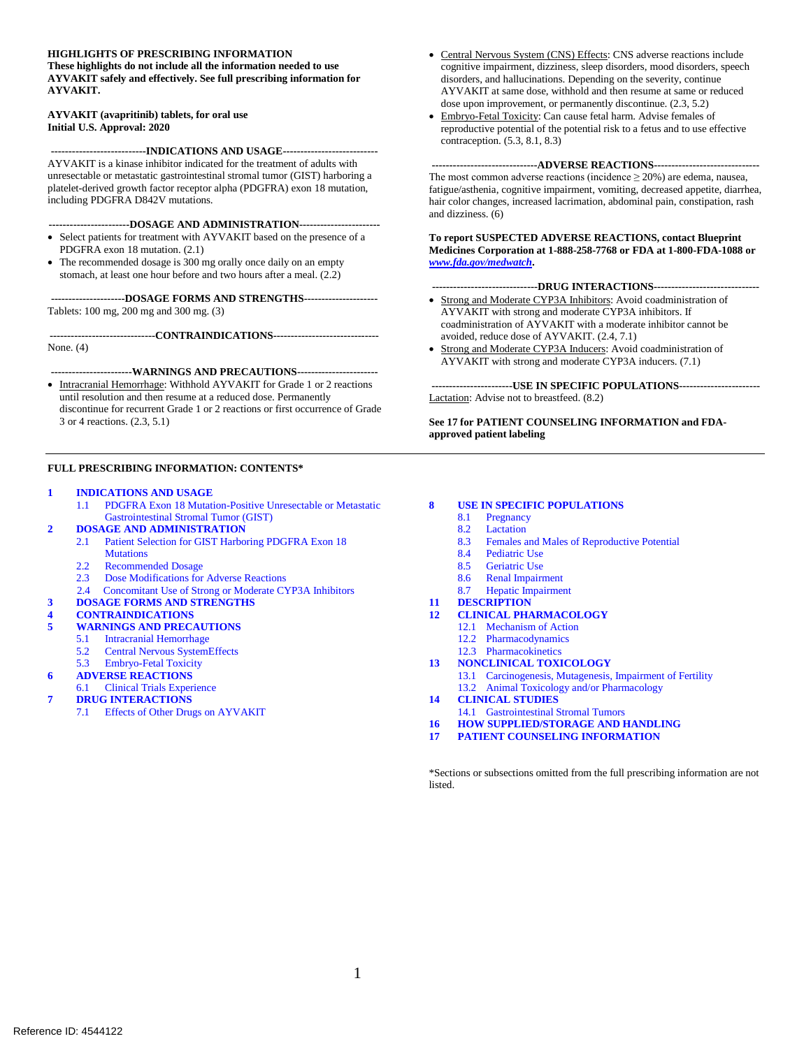#### **HIGHLIGHTS OF PRESCRIBING INFORMATION**

**These highlights do not include all the information needed to use AYVAKIT safely and effectively. See full prescribing information for AYVAKIT.**

#### **AYVAKIT (avapritinib) tablets, for oral use Initial U.S. Approval: 2020**

**---------------------------INDICATIONS AND USAGE---------------------------** AYVAKIT is a kinase inhibitor indicated for the treatment of adults with unresectable or metastatic gastrointestinal stromal tumor (GIST) harboring a platelet-derived growth factor receptor alpha (PDGFRA) exon 18 mutation, including PDGFRA D842V mutations.

**-----------------------DOSAGE AND ADMINISTRATION-----------------------**

- Select patients for treatment with AYVAKIT based on the presence of a PDGFRA exon 18 mutation. (2.1)
- The recommended dosage is 300 mg orally once daily on an empty stomach, at least one hour before and two hours after a meal. (2.2)

**---------------------DOSAGE FORMS AND STRENGTHS---------------------** Tablets: 100 mg, 200 mg and 300 mg. (3)

**------------------------------CONTRAINDICATIONS------------------------------** None. (4)

- **-----------------------WARNINGS AND PRECAUTIONS-----------------------** • Intracranial Hemorrhage: Withhold AYVAKIT for Grade 1 or 2 reactions
- until resolution and then resume at a reduced dose. Permanently discontinue for recurrent Grade 1 or 2 reactions or first occurrence of Grade 3 or 4 reactions. (2.3, 5.1)

#### **FULL PRESCRIBING INFORMATION: CONTENTS\***

#### **1 [INDICATIONS AND USAGE](#page-1-0)**

1.1 PDGFRA Exon 18 Mutation-Positive Unresectable or Metastatic Gastrointestinal Stromal Tumor (GIST)

#### **2 [DOSAGE AND ADMINISTRATION](#page-1-1)**

- 2.1 Patient Selection for GIST Harboring PDGFRA Exon 18 **Mutations**
- 2.2 Recommended Dosage<br>2.3 Dose Modifications for
- Dose Modifications for Adverse Reactions
- 2.4 Concomitant Use of Strong or Moderate CYP3A Inhibitors
- **3 [DOSAGE FORMS AND STRENGTHS](#page-2-0)**

# **4 [CONTRAINDICATIONS](#page-2-1)**

- **5 [WARNINGS AND PRECAUTIONS](#page-2-2)**
	- 5.1 Intracranial Hemorrhage
- 5.2 Central Nervous SystemEffects
- 5.3 [Embryo-Fetal Toxicity](#page-2-3)
- **6 [ADVERSE REACTIONS](#page-3-0)**
- 6.1 [Clinical Trials Experience](#page-3-1)
- **7 [DRUG INTERACTIONS](#page-6-0)**
	- 7.1 Effects of Other Drugs on AYVAKIT
- Central Nervous System (CNS) Effects: CNS adverse reactions include cognitive impairment, dizziness, sleep disorders, mood disorders, speech disorders, and hallucinations. Depending on the severity, continue AYVAKIT at same dose, withhold and then resume at same or reduced dose upon improvement, or permanently discontinue. (2.3, 5.2)
- Embryo-Fetal Toxicity: Can cause fetal harm. Advise females of reproductive potential of the potential risk to a fetus and to use effective contraception. (5.3, 8.1, 8.3)

#### **------------------------------ADVERSE REACTIONS------------------------------**

The most common adverse reactions (incidence  $\geq$  20%) are edema, nausea, fatigue/asthenia, cognitive impairment, vomiting, decreased appetite, diarrhea, hair color changes, increased lacrimation, abdominal pain, constipation, rash and dizziness. (6)

**To report SUSPECTED ADVERSE REACTIONS, contact Blueprint Medicines Corporation at 1-888-258-7768 or FDA at 1-800-FDA-1088 or**  *www.fda.gov/medwatch***.**

#### **------------------------------DRUG INTERACTIONS------------------------------**

- Strong and Moderate CYP3A Inhibitors: Avoid coadministration of AYVAKIT with strong and moderate CYP3A inhibitors. If coadministration of AYVAKIT with a moderate inhibitor cannot be avoided, reduce dose of AYVAKIT. (2.4, 7.1)
- Strong and Moderate CYP3A Inducers: Avoid coadministration of AYVAKIT with strong and moderate CYP3A inducers. (7.1)

**-----------------------USE IN SPECIFIC POPULATIONS-----------------------** Lactation: Advise not to breastfeed. (8.2)

**See 17 for PATIENT COUNSELING INFORMATION and FDAapproved patient labeling**

#### **8 [USE IN SPECIFIC POPULATIONS](#page-7-0)**

- 8.1 [Pregnancy](#page-7-1)
- 8.2 [Lactation](#page-7-2)
- 8.3 [Females and Males of Reproductive Potential](#page-7-3)
- 8.4 [Pediatric Use](#page-8-0)<br>8.5 Geriatric Use
- 
- 8.5 [Geriatric Use](#page-8-1)<br>8.6 Renal Impair Renal Impairment
- 8.7 Hepatic Impairment
- **11 [DESCRIPTION](#page-8-2)**

#### **12 [CLINICAL PHARMACOLOGY](#page-9-0)**

- 12.1 [Mechanism of Action](#page-9-1)
- 12.2 [Pharmacodynamics](#page-9-2)
- 12.3 [Pharmacokinetics](#page-9-3)

#### **13 [NONCLINICAL TOXICOLOGY](#page-11-0)**

- 13.1 [Carcinogenesis, Mutagenesis, Impairment of Fertility](#page-11-1)
- 13.2 [Animal Toxicology and/or Pharmacology](#page-11-2)
- **14 [CLINICAL STUDIES](#page-12-0)**
- 14.1 Gastrointestinal Stromal Tumors
- **16 [HOW SUPPLIED/STORAGE](#page-13-0) AND HANDLING**
- **17 [PATIENT COUNSELING INFORMATION](#page-13-1)**

\*Sections or subsections omitted from the full prescribing information are not listed.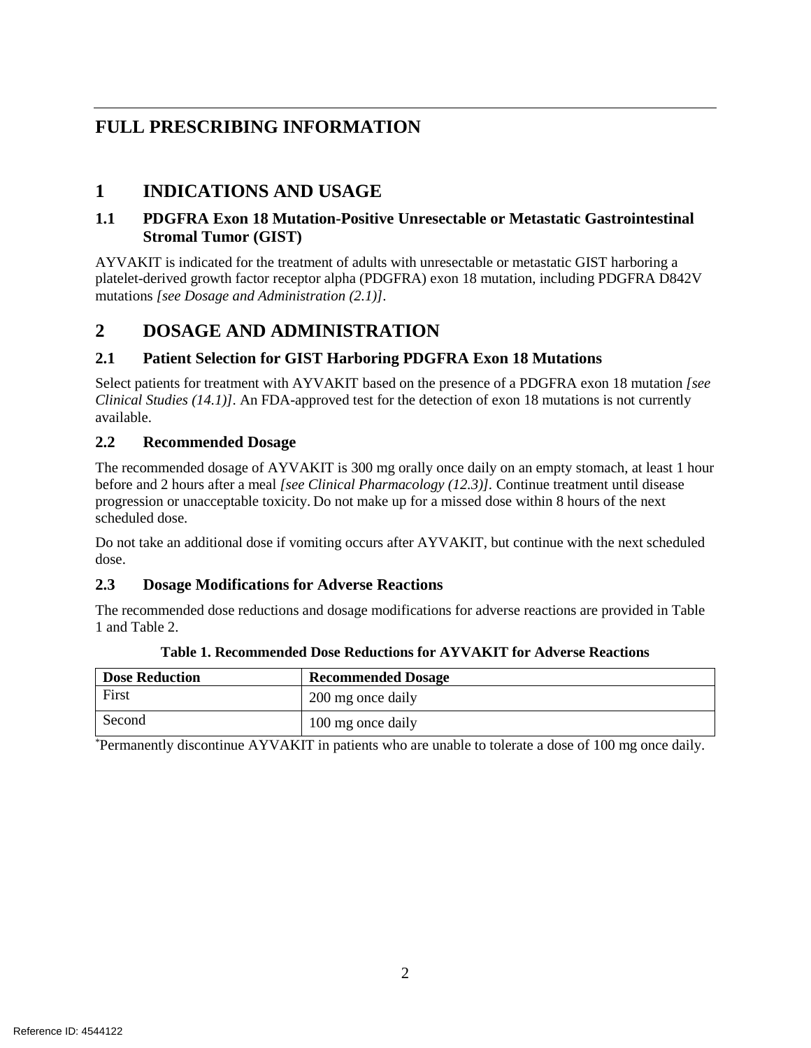# **FULL PRESCRIBING INFORMATION**

# <span id="page-1-0"></span>**1 INDICATIONS AND USAGE**

# **1.1 PDGFRA Exon 18 Mutation-Positive Unresectable or Metastatic Gastrointestinal Stromal Tumor (GIST)**

AYVAKIT is indicated for the treatment of adults with unresectable or metastatic GIST harboring a platelet-derived growth factor receptor alpha (PDGFRA) exon 18 mutation, including PDGFRA D842V mutations *[see Dosage and Administration (2.1)]*.

# <span id="page-1-1"></span>**2 DOSAGE AND ADMINISTRATION**

# **2.1 Patient Selection for GIST Harboring PDGFRA Exon 18 Mutations**

Select patients for treatment with AYVAKIT based on the presence of a PDGFRA exon 18 mutation *[see Clinical Studies (14.1)]*. An FDA-approved test for the detection of exon 18 mutations is not currently available.

# **2.2 Recommended Dosage**

The recommended dosage of AYVAKIT is 300 mg orally once daily on an empty stomach, at least 1 hour before and 2 hours after a meal *[see Clinical Pharmacology (12.3)].* Continue treatment until disease progression or unacceptable toxicity. Do not make up for a missed dose within 8 hours of the next scheduled dose.

Do not take an additional dose if vomiting occurs after AYVAKIT, but continue with the next scheduled dose.

# **2.3 Dosage Modifications for Adverse Reactions**

The recommended dose reductions and dosage modifications for adverse reactions are provided in Table 1 and Table 2.

| <b>Dose Reduction</b> | <b>Recommended Dosage</b> |  |
|-----------------------|---------------------------|--|
| First                 | 200 mg once daily         |  |
| Second                | 100 mg once daily         |  |

### **Table 1. Recommended Dose Reductions for AYVAKIT for Adverse Reactions**

\* Permanently discontinue AYVAKIT in patients who are unable to tolerate a dose of 100 mg once daily.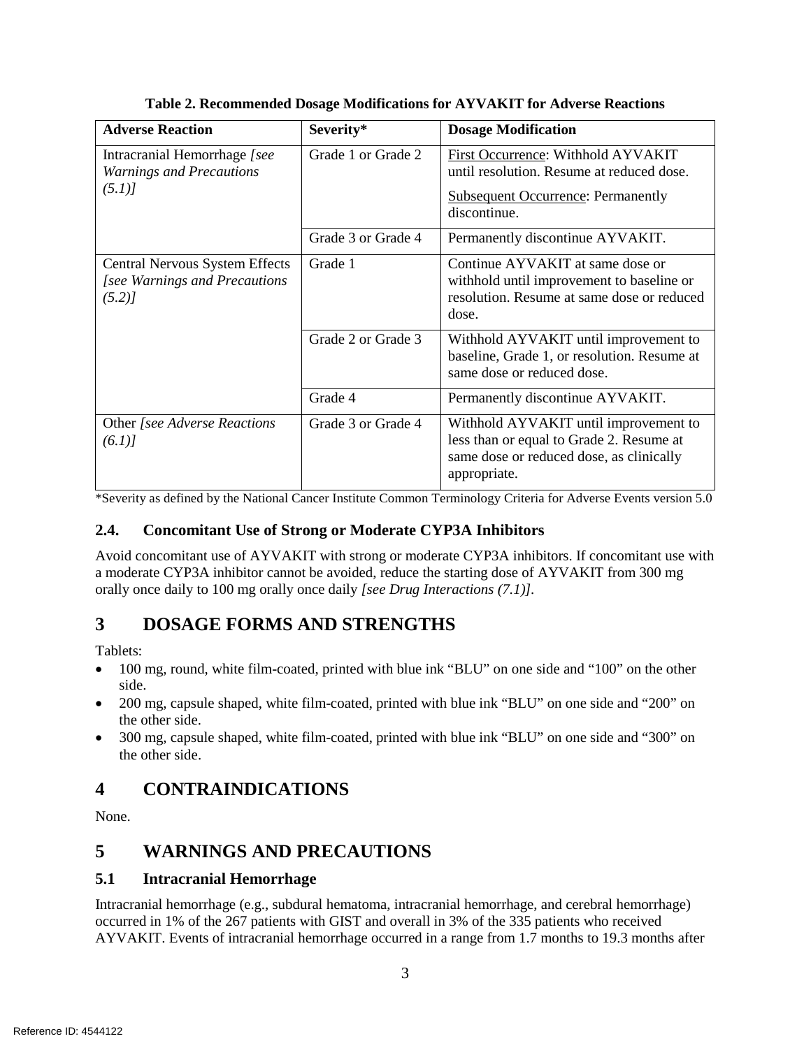| <b>Adverse Reaction</b>                                                         | Severity*          | <b>Dosage Modification</b>                                                                                                                    |
|---------------------------------------------------------------------------------|--------------------|-----------------------------------------------------------------------------------------------------------------------------------------------|
| Intracranial Hemorrhage [see<br><b>Warnings and Precautions</b><br>(5.1)        | Grade 1 or Grade 2 | First Occurrence: Withhold AYVAKIT<br>until resolution. Resume at reduced dose.<br><b>Subsequent Occurrence: Permanently</b><br>discontinue.  |
|                                                                                 | Grade 3 or Grade 4 | Permanently discontinue AYVAKIT.                                                                                                              |
| <b>Central Nervous System Effects</b><br>[see Warnings and Precautions<br>(5.2) | Grade 1            | Continue AYVAKIT at same dose or<br>withhold until improvement to baseline or<br>resolution. Resume at same dose or reduced<br>dose.          |
|                                                                                 | Grade 2 or Grade 3 | Withhold AYVAKIT until improvement to<br>baseline, Grade 1, or resolution. Resume at<br>same dose or reduced dose.                            |
|                                                                                 | Grade 4            | Permanently discontinue AYVAKIT.                                                                                                              |
| Other [see Adverse Reactions<br>(6.1)                                           | Grade 3 or Grade 4 | Withhold AYVAKIT until improvement to<br>less than or equal to Grade 2. Resume at<br>same dose or reduced dose, as clinically<br>appropriate. |

**Table 2. Recommended Dosage Modifications for AYVAKIT for Adverse Reactions**

\*Severity as defined by the National Cancer Institute Common Terminology Criteria for Adverse Events version 5.0

## **2.4. Concomitant Use of Strong or Moderate CYP3A Inhibitors**

Avoid concomitant use of AYVAKIT with strong or moderate CYP3A inhibitors. If concomitant use with a moderate CYP3A inhibitor cannot be avoided, reduce the starting dose of AYVAKIT from 300 mg orally once daily to 100 mg orally once daily *[see Drug Interactions (7.1)].*

# <span id="page-2-0"></span>**3 DOSAGE FORMS AND STRENGTHS**

Tablets:

- 100 mg, round, white film-coated, printed with blue ink "BLU" on one side and "100" on the other side.
- 200 mg, capsule shaped, white film-coated, printed with blue ink "BLU" on one side and "200" on the other side.
- 300 mg, capsule shaped, white film-coated, printed with blue ink "BLU" on one side and "300" on the other side.

# <span id="page-2-1"></span>**4 CONTRAINDICATIONS**

None.

# <span id="page-2-2"></span>**5 WARNINGS AND PRECAUTIONS**

# <span id="page-2-3"></span>**5.1 Intracranial Hemorrhage**

Intracranial hemorrhage (e.g., subdural hematoma, intracranial hemorrhage, and cerebral hemorrhage) occurred in 1% of the 267 patients with GIST and overall in 3% of the 335 patients who received AYVAKIT. Events of intracranial hemorrhage occurred in a range from 1.7 months to 19.3 months after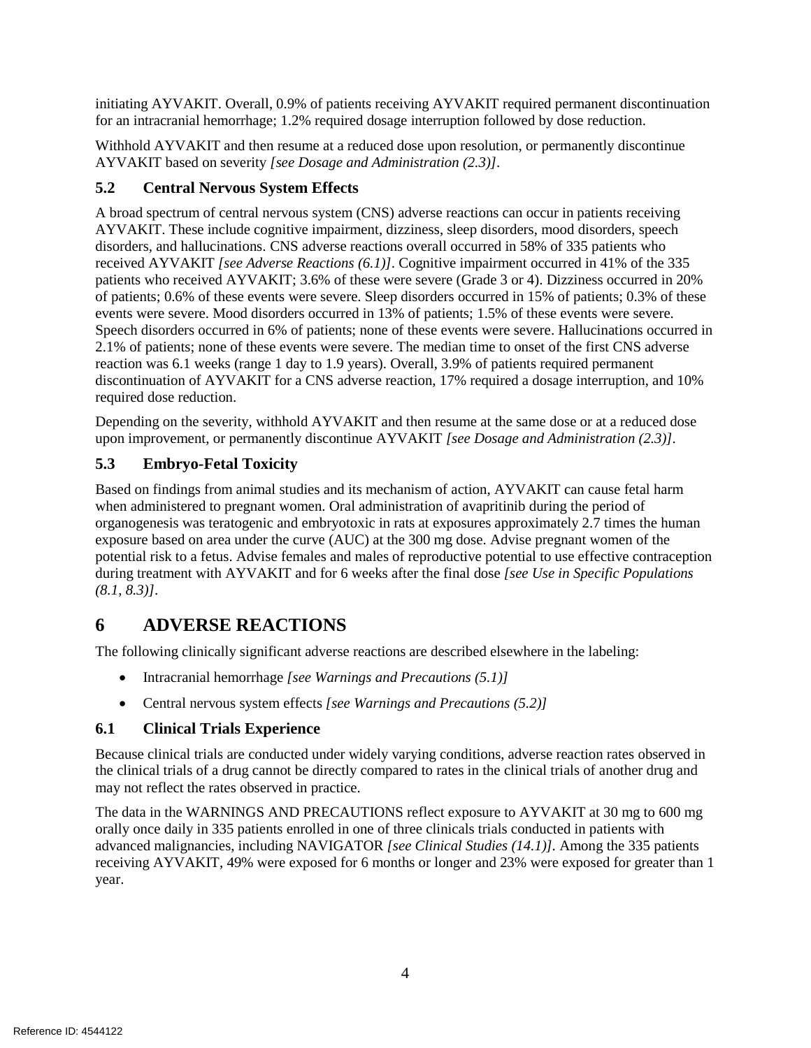initiating AYVAKIT. Overall, 0.9% of patients receiving AYVAKIT required permanent discontinuation for an intracranial hemorrhage; 1.2% required dosage interruption followed by dose reduction.

Withhold AYVAKIT and then resume at a reduced dose upon resolution, or permanently discontinue AYVAKIT based on severity *[see Dosage and Administration (2.3)]*.

# **5.2 Central Nervous System Effects**

A broad spectrum of central nervous system (CNS) adverse reactions can occur in patients receiving AYVAKIT. These include cognitive impairment, dizziness, sleep disorders, mood disorders, speech disorders, and hallucinations. CNS adverse reactions overall occurred in 58% of 335 patients who received AYVAKIT *[see Adverse Reactions (6.1)]*. Cognitive impairment occurred in 41% of the 335 patients who received AYVAKIT; 3.6% of these were severe (Grade 3 or 4). Dizziness occurred in 20% of patients; 0.6% of these events were severe. Sleep disorders occurred in 15% of patients; 0.3% of these events were severe. Mood disorders occurred in 13% of patients; 1.5% of these events were severe. Speech disorders occurred in 6% of patients; none of these events were severe. Hallucinations occurred in 2.1% of patients; none of these events were severe. The median time to onset of the first CNS adverse reaction was 6.1 weeks (range 1 day to 1.9 years). Overall, 3.9% of patients required permanent discontinuation of AYVAKIT for a CNS adverse reaction, 17% required a dosage interruption, and 10% required dose reduction.

Depending on the severity, withhold AYVAKIT and then resume at the same dose or at a reduced dose upon improvement, or permanently discontinue AYVAKIT *[see Dosage and Administration (2.3)]*.

# **5.3 Embryo-Fetal Toxicity**

Based on findings from animal studies and its mechanism of action, AYVAKIT can cause fetal harm when administered to pregnant women. Oral administration of avapritinib during the period of organogenesis was teratogenic and embryotoxic in rats at exposures approximately 2.7 times the human exposure based on area under the curve (AUC) at the 300 mg dose. Advise pregnant women of the potential risk to a fetus. Advise females and males of reproductive potential to use effective contraception during treatment with AYVAKIT and for 6 weeks after the final dose *[see Use in Specific Populations (8.1, 8.3)]*.

# <span id="page-3-0"></span>**6 ADVERSE REACTIONS**

<span id="page-3-1"></span>The following clinically significant adverse reactions are described elsewhere in the labeling:

- Intracranial hemorrhage *[see Warnings and Precautions (5.1)]*
- Central nervous system effects *[see Warnings and Precautions (5.2)]*

# **6.1 Clinical Trials Experience**

Because clinical trials are conducted under widely varying conditions, adverse reaction rates observed in the clinical trials of a drug cannot be directly compared to rates in the clinical trials of another drug and may not reflect the rates observed in practice.

The data in the WARNINGS AND PRECAUTIONS reflect exposure to AYVAKIT at 30 mg to 600 mg orally once daily in 335 patients enrolled in one of three clinicals trials conducted in patients with advanced malignancies, including NAVIGATOR *[see Clinical Studies (14.1)].* Among the 335 patients receiving AYVAKIT, 49% were exposed for 6 months or longer and 23% were exposed for greater than 1 year.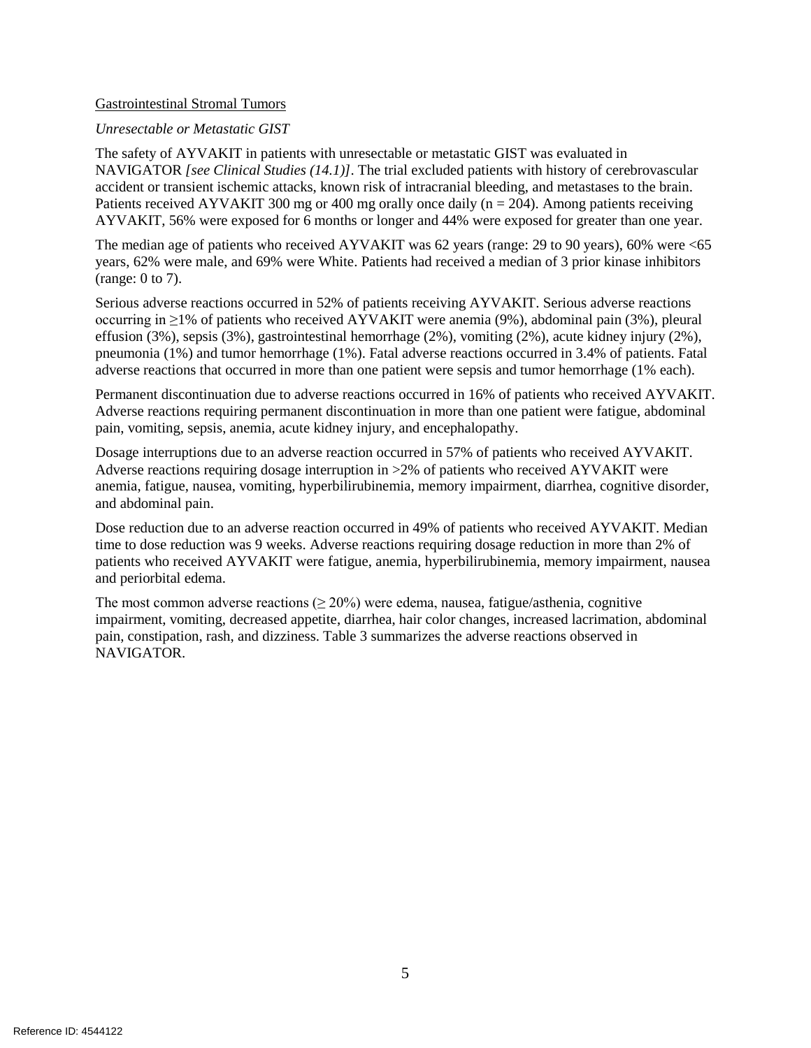#### Gastrointestinal Stromal Tumors

*Unresectable or Metastatic GIST* 

The safety of AYVAKIT in patients with unresectable or metastatic GIST was evaluated in NAVIGATOR *[see Clinical Studies (14.1)]*. The trial excluded patients with history of cerebrovascular accident or transient ischemic attacks, known risk of intracranial bleeding, and metastases to the brain. Patients received AYVAKIT 300 mg or 400 mg orally once daily ( $n = 204$ ). Among patients receiving AYVAKIT, 56% were exposed for 6 months or longer and 44% were exposed for greater than one year.

The median age of patients who received AYVAKIT was 62 years (range: 29 to 90 years), 60% were <65 years, 62% were male, and 69% were White. Patients had received a median of 3 prior kinase inhibitors (range: 0 to 7).

Serious adverse reactions occurred in 52% of patients receiving AYVAKIT. Serious adverse reactions occurring in ≥1% of patients who received AYVAKIT were anemia (9%), abdominal pain (3%), pleural effusion (3%), sepsis (3%), gastrointestinal hemorrhage (2%), vomiting (2%), acute kidney injury (2%), pneumonia (1%) and tumor hemorrhage (1%). Fatal adverse reactions occurred in 3.4% of patients. Fatal adverse reactions that occurred in more than one patient were sepsis and tumor hemorrhage (1% each).

Permanent discontinuation due to adverse reactions occurred in 16% of patients who received AYVAKIT. Adverse reactions requiring permanent discontinuation in more than one patient were fatigue, abdominal pain, vomiting, sepsis, anemia, acute kidney injury, and encephalopathy.

Dosage interruptions due to an adverse reaction occurred in 57% of patients who received AYVAKIT. Adverse reactions requiring dosage interruption in >2% of patients who received AYVAKIT were anemia, fatigue, nausea, vomiting, hyperbilirubinemia, memory impairment, diarrhea, cognitive disorder, and abdominal pain.

Dose reduction due to an adverse reaction occurred in 49% of patients who received AYVAKIT. Median time to dose reduction was 9 weeks. Adverse reactions requiring dosage reduction in more than 2% of patients who received AYVAKIT were fatigue, anemia, hyperbilirubinemia, memory impairment, nausea and periorbital edema.

The most common adverse reactions ( $\geq 20\%$ ) were edema, nausea, fatigue/asthenia, cognitive impairment, vomiting, decreased appetite, diarrhea, hair color changes, increased lacrimation, abdominal pain, constipation, rash, and dizziness. Table 3 summarizes the adverse reactions observed in NAVIGATOR.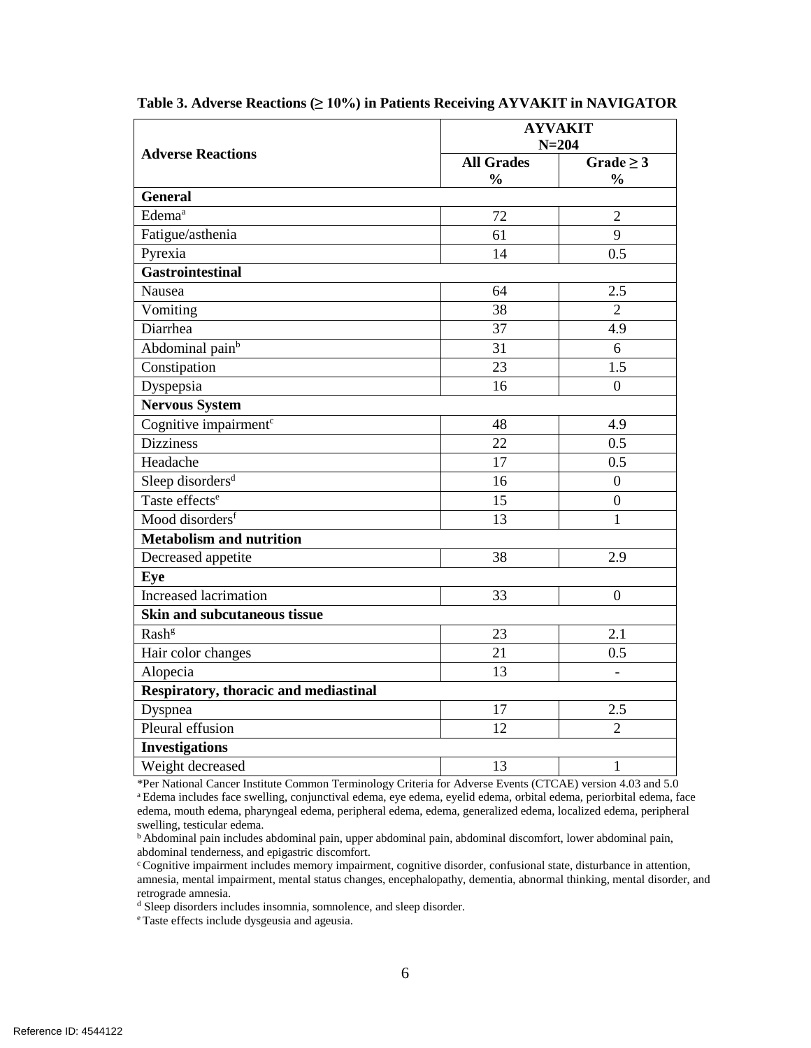|                                       | <b>AYVAKIT</b><br>$N = 204$        |                                 |  |  |
|---------------------------------------|------------------------------------|---------------------------------|--|--|
| <b>Adverse Reactions</b>              | <b>All Grades</b><br>$\frac{0}{0}$ | Grade $\geq$ 3<br>$\frac{0}{0}$ |  |  |
| <b>General</b>                        |                                    |                                 |  |  |
| Edema <sup>a</sup>                    | 72                                 | $\overline{2}$                  |  |  |
| Fatigue/asthenia                      | 61                                 | 9                               |  |  |
| Pyrexia                               | 14                                 | 0.5                             |  |  |
| <b>Gastrointestinal</b>               |                                    |                                 |  |  |
| Nausea                                | 64                                 | 2.5                             |  |  |
| Vomiting                              | 38                                 | $\overline{2}$                  |  |  |
| Diarrhea                              | 37                                 | 4.9                             |  |  |
| Abdominal pain <sup>b</sup>           | 31                                 | 6                               |  |  |
| Constipation                          | 23                                 | 1.5                             |  |  |
| Dyspepsia                             | 16                                 | $\overline{0}$                  |  |  |
| Nervous System                        |                                    |                                 |  |  |
| Cognitive impairment <sup>c</sup>     | 48                                 | 4.9                             |  |  |
| <b>Dizziness</b>                      | 22                                 | $\overline{0.5}$                |  |  |
| Headache                              | 17                                 | 0.5                             |  |  |
| Sleep disorders <sup>d</sup>          | 16                                 | $\boldsymbol{0}$                |  |  |
| Taste effects <sup>e</sup>            | 15                                 | $\overline{0}$                  |  |  |
| Mood disorders <sup>f</sup>           | 13                                 | $\mathbf{1}$                    |  |  |
| <b>Metabolism and nutrition</b>       |                                    |                                 |  |  |
| Decreased appetite                    | 38                                 | 2.9                             |  |  |
| Eye                                   |                                    |                                 |  |  |
| <b>Increased lacrimation</b>          | 33                                 | $\boldsymbol{0}$                |  |  |
| <b>Skin and subcutaneous tissue</b>   |                                    |                                 |  |  |
| Rash <sup>g</sup>                     | 23                                 |                                 |  |  |
| Hair color changes                    | 21                                 | 0.5                             |  |  |
| Alopecia                              | 13                                 |                                 |  |  |
| Respiratory, thoracic and mediastinal |                                    |                                 |  |  |
| Dyspnea                               | 17                                 | 2.5                             |  |  |
| Pleural effusion                      | 12                                 | $\overline{2}$                  |  |  |
| <b>Investigations</b>                 |                                    |                                 |  |  |
| Weight decreased                      | 13                                 | $\mathbf{1}$                    |  |  |

**Table 3. Adverse Reactions (≥ 10%) in Patients Receiving AYVAKIT in NAVIGATOR** 

\*Per National Cancer Institute Common Terminology Criteria for Adverse Events (CTCAE) version 4.03 and 5.0 <sup>a</sup> Edema includes face swelling, conjunctival edema, eye edema, eyelid edema, orbital edema, periorbital edema, face edema, mouth edema, pharyngeal edema, peripheral edema, edema, generalized edema, localized edema, peripheral swelling, testicular edema.

<sup>b</sup> Abdominal pain includes abdominal pain, upper abdominal pain, abdominal discomfort, lower abdominal pain, abdominal tenderness, and epigastric discomfort.

<sup>c</sup> Cognitive impairment includes memory impairment, cognitive disorder, confusional state, disturbance in attention, amnesia, mental impairment, mental status changes, encephalopathy, dementia, abnormal thinking, mental disorder, and retrograde amnesia.

<sup>d</sup> Sleep disorders includes insomnia, somnolence, and sleep disorder.

<sup>e</sup> Taste effects include dysgeusia and ageusia.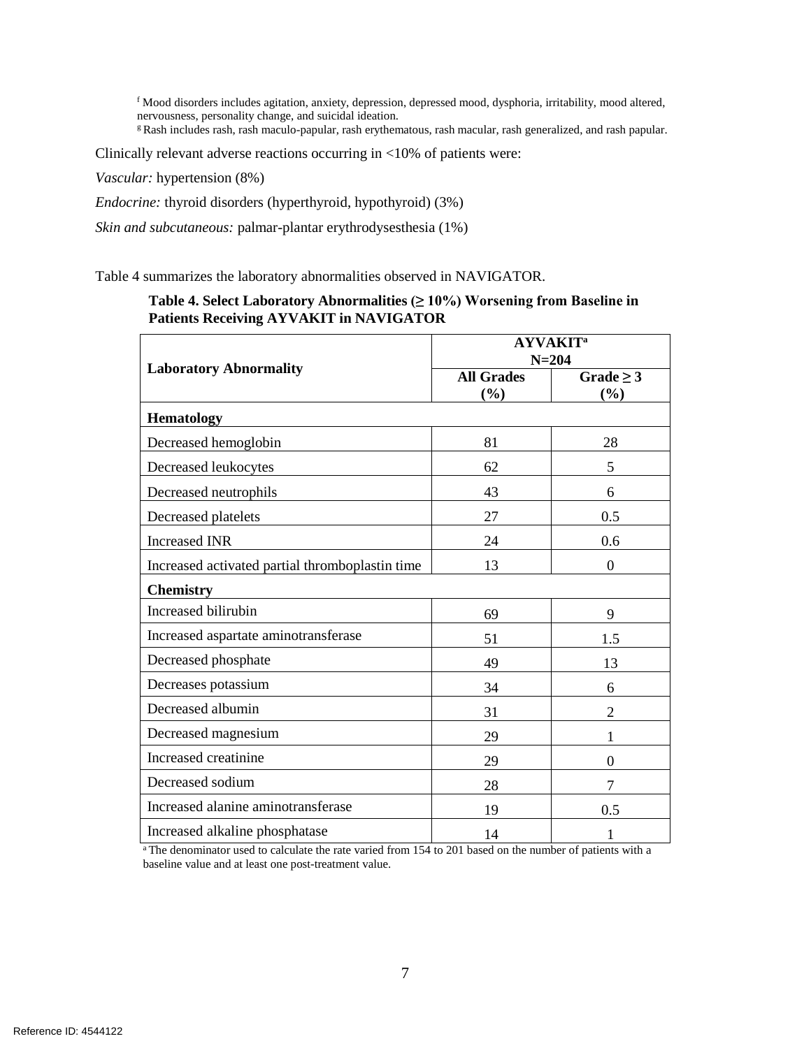<sup>f</sup> Mood disorders includes agitation, anxiety, depression, depressed mood, dysphoria, irritability, mood altered, nervousness, personality change, and suicidal ideation. <sup>g</sup> Rash includes rash, rash maculo-papular, rash erythematous, rash macular, rash generalized, and rash papular.

Clinically relevant adverse reactions occurring in <10% of patients were:

*Vascular:* hypertension (8%)

*Endocrine:* thyroid disorders (hyperthyroid, hypothyroid) (3%)

*Skin and subcutaneous:* palmar-plantar erythrodysesthesia (1%)

Table 4 summarizes the laboratory abnormalities observed in NAVIGATOR.

**Table 4. Select Laboratory Abnormalities (≥ 10%) Worsening from Baseline in Patients Receiving AYVAKIT in NAVIGATOR** 

|                                                 | <b>AYVAKIT<sup>a</sup></b><br>$N = 204$ |                       |  |
|-------------------------------------------------|-----------------------------------------|-----------------------|--|
| <b>Laboratory Abnormality</b>                   | <b>All Grades</b><br>(%)                | Grade $\geq$ 3<br>(%) |  |
| <b>Hematology</b>                               |                                         |                       |  |
| Decreased hemoglobin                            | 81                                      | 28                    |  |
| Decreased leukocytes                            | 62                                      | 5                     |  |
| Decreased neutrophils                           | 43                                      | 6                     |  |
| Decreased platelets                             | 27                                      | 0.5                   |  |
| <b>Increased INR</b>                            | 24                                      | 0.6                   |  |
| Increased activated partial thromboplastin time | 13                                      | $\overline{0}$        |  |
| <b>Chemistry</b>                                |                                         |                       |  |
| Increased bilirubin                             | 69                                      | 9                     |  |
| Increased aspartate aminotransferase            | 51                                      | 1.5                   |  |
| Decreased phosphate                             | 49                                      | 13                    |  |
| Decreases potassium                             | 34                                      | 6                     |  |
| Decreased albumin                               | 31                                      | $\overline{2}$        |  |
| Decreased magnesium                             | 29                                      | 1                     |  |
| Increased creatinine                            | 29                                      | $\Omega$              |  |
| Decreased sodium                                | 28                                      | 7                     |  |
| Increased alanine aminotransferase              | 19                                      | 0.5                   |  |
| Increased alkaline phosphatase                  | 14                                      | $\mathbf{1}$          |  |

<span id="page-6-0"></span><sup>a</sup> The denominator used to calculate the rate varied from 154 to 201 based on the number of patients with a baseline value and at least one post-treatment value.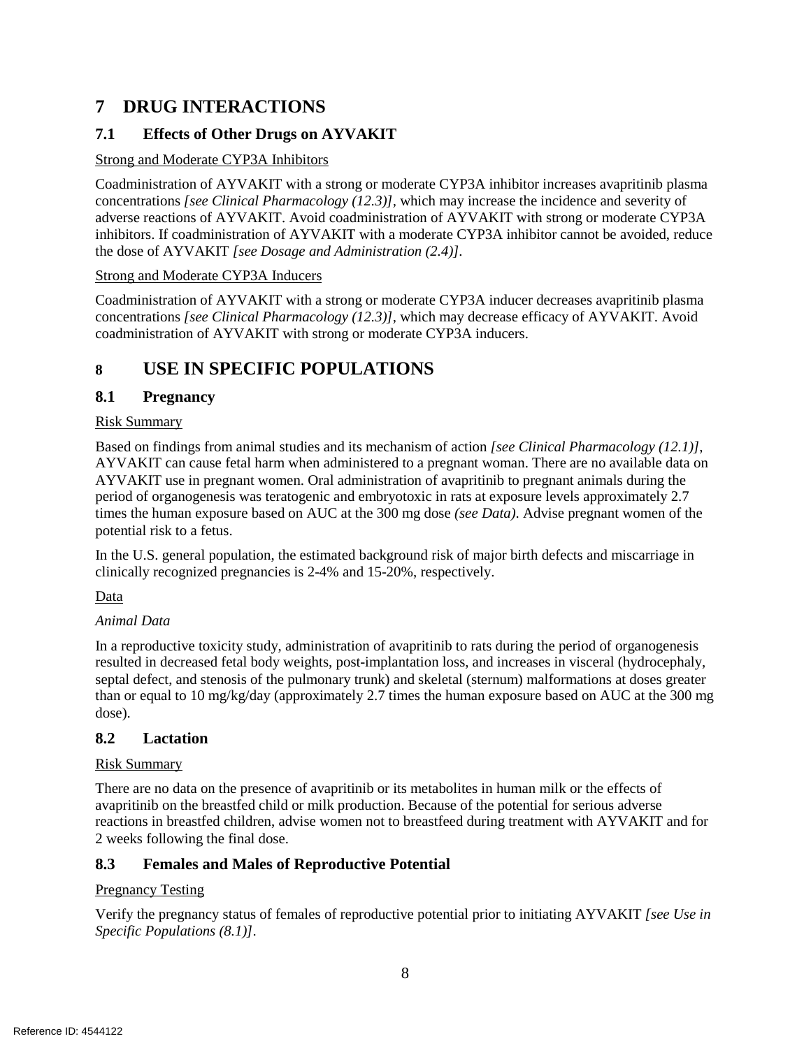# **7 DRUG INTERACTIONS**

# **7.1 Effects of Other Drugs on AYVAKIT**

# Strong and Moderate CYP3A Inhibitors

Coadministration of AYVAKIT with a strong or moderate CYP3A inhibitor increases avapritinib plasma concentrations *[see Clinical Pharmacology (12.3)],* which may increase the incidence and severity of adverse reactions of AYVAKIT. Avoid coadministration of AYVAKIT with strong or moderate CYP3A inhibitors. If coadministration of AYVAKIT with a moderate CYP3A inhibitor cannot be avoided, reduce the dose of AYVAKIT *[see Dosage and Administration (2.4)].* 

# Strong and Moderate CYP3A Inducers

Coadministration of AYVAKIT with a strong or moderate CYP3A inducer decreases avapritinib plasma concentrations *[see Clinical Pharmacology (12.3)]*, which may decrease efficacy of AYVAKIT. Avoid coadministration of AYVAKIT with strong or moderate CYP3A inducers.

# <span id="page-7-0"></span>**8 USE IN SPECIFIC POPULATIONS**

# <span id="page-7-1"></span>**8.1 Pregnancy**

# Risk Summary

Based on findings from animal studies and its mechanism of action *[see Clinical Pharmacology (12.1)]*, AYVAKIT can cause fetal harm when administered to a pregnant woman. There are no available data on AYVAKIT use in pregnant women. Oral administration of avapritinib to pregnant animals during the period of organogenesis was teratogenic and embryotoxic in rats at exposure levels approximately 2.7 times the human exposure based on AUC at the 300 mg dose *(see Data)*. Advise pregnant women of the potential risk to a fetus.

In the U.S. general population, the estimated background risk of major birth defects and miscarriage in clinically recognized pregnancies is 2-4% and 15-20%, respectively.

# Data

# *Animal Data*

In a reproductive toxicity study, administration of avapritinib to rats during the period of organogenesis resulted in decreased fetal body weights, post-implantation loss, and increases in visceral (hydrocephaly, septal defect, and stenosis of the pulmonary trunk) and skeletal (sternum) malformations at doses greater than or equal to 10 mg/kg/day (approximately 2.7 times the human exposure based on AUC at the 300 mg dose).

# <span id="page-7-2"></span>**8.2 Lactation**

## Risk Summary

There are no data on the presence of avapritinib or its metabolites in human milk or the effects of avapritinib on the breastfed child or milk production. Because of the potential for serious adverse reactions in breastfed children, advise women not to breastfeed during treatment with AYVAKIT and for 2 weeks following the final dose.

# <span id="page-7-3"></span>**8.3 Females and Males of Reproductive Potential**

# Pregnancy Testing

Verify the pregnancy status of females of reproductive potential prior to initiating AYVAKIT *[see Use in Specific Populations (8.1)]*.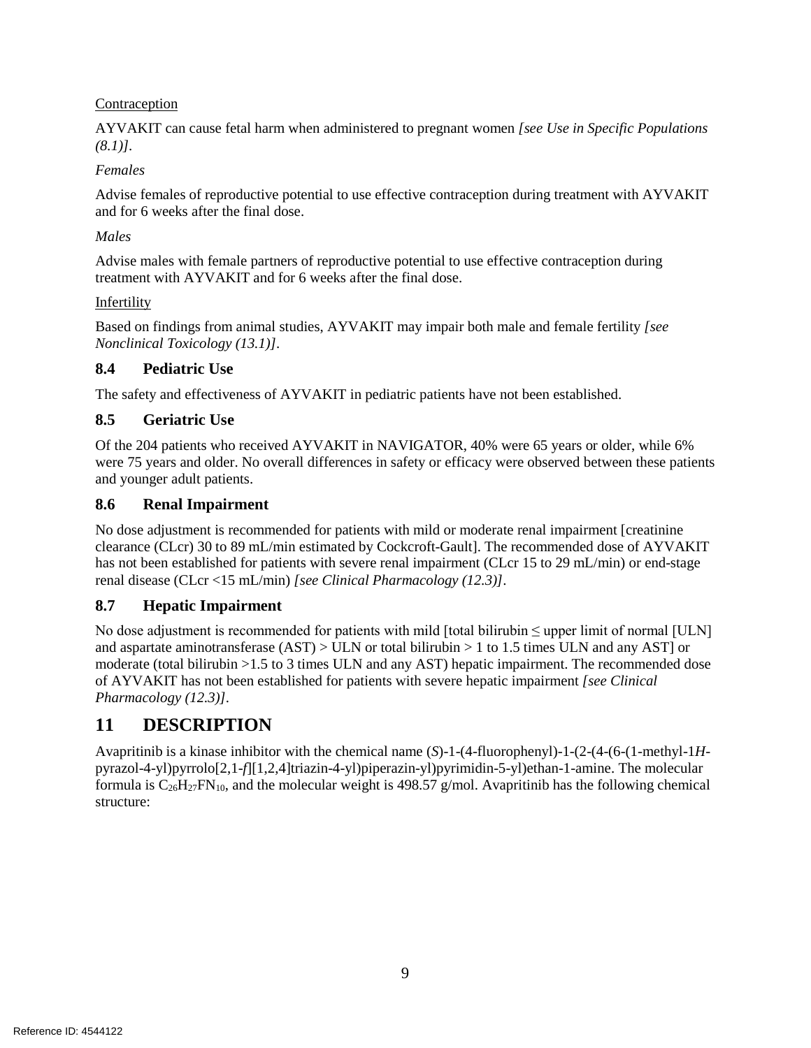# Contraception

AYVAKIT can cause fetal harm when administered to pregnant women *[see Use in Specific Populations (8.1)].*

## *Females*

Advise females of reproductive potential to use effective contraception during treatment with AYVAKIT and for 6 weeks after the final dose.

### *Males*

Advise males with female partners of reproductive potential to use effective contraception during treatment with AYVAKIT and for 6 weeks after the final dose.

### Infertility

Based on findings from animal studies, AYVAKIT may impair both male and female fertility *[see Nonclinical Toxicology (13.1)]*.

## <span id="page-8-0"></span>**8.4 Pediatric Use**

The safety and effectiveness of AYVAKIT in pediatric patients have not been established.

## <span id="page-8-1"></span>**8.5 Geriatric Use**

Of the 204 patients who received AYVAKIT in NAVIGATOR, 40% were 65 years or older, while 6% were 75 years and older. No overall differences in safety or efficacy were observed between these patients and younger adult patients.

### **8.6 Renal Impairment**

No dose adjustment is recommended for patients with mild or moderate renal impairment [creatinine clearance (CLcr) 30 to 89 mL/min estimated by Cockcroft-Gault]. The recommended dose of AYVAKIT has not been established for patients with severe renal impairment (CLcr 15 to 29 mL/min) or end-stage renal disease (CLcr <15 mL/min) *[see Clinical Pharmacology (12.3)]*.

## **8.7 Hepatic Impairment**

No dose adjustment is recommended for patients with mild  $[total billion \leq upper limit of normal [ULN]$ and aspartate aminotransferase (AST) > ULN or total bilirubin > 1 to 1.5 times ULN and any AST] or moderate (total bilirubin >1.5 to 3 times ULN and any AST) hepatic impairment. The recommended dose of AYVAKIT has not been established for patients with severe hepatic impairment *[see Clinical Pharmacology (12.3)]*.

# <span id="page-8-2"></span>**11 DESCRIPTION**

Avapritinib is a kinase inhibitor with the chemical name (*S*)-1-(4-fluorophenyl)-1-(2-(4-(6-(1-methyl-1*H*pyrazol-4-yl)pyrrolo[2,1-*f*][1,2,4]triazin-4-yl)piperazin-yl)pyrimidin-5-yl)ethan-1-amine. The molecular formula is  $C_{26}H_{27}FN_{10}$ , and the molecular weight is 498.57 g/mol. Avapritinib has the following chemical structure: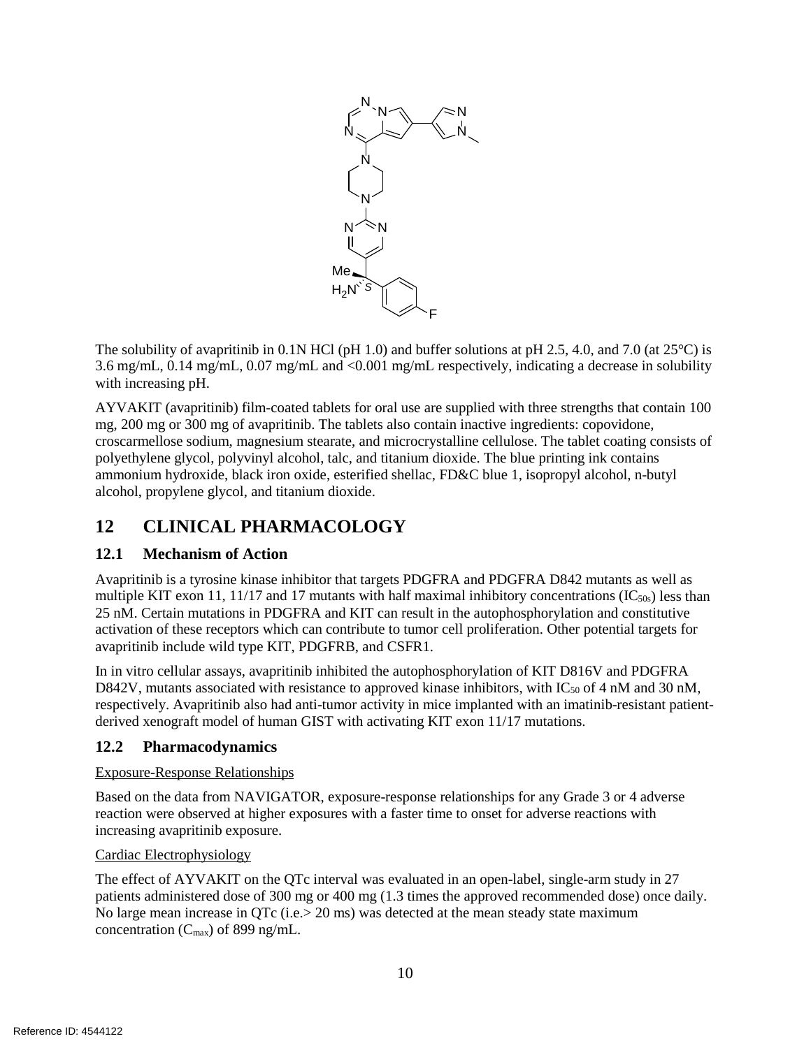<span id="page-9-3"></span>

The solubility of avapritinib in 0.1N HCl (pH 1.0) and buffer solutions at pH 2.5, 4.0, and 7.0 (at  $25^{\circ}$ C) is 3.6 mg/mL, 0.14 mg/mL, 0.07 mg/mL and <0.001 mg/mL respectively, indicating a decrease in solubility with increasing pH.

AYVAKIT (avapritinib) film-coated tablets for oral use are supplied with three strengths that contain 100 mg, 200 mg or 300 mg of avapritinib. The tablets also contain inactive ingredients: copovidone, croscarmellose sodium, magnesium stearate, and microcrystalline cellulose. The tablet coating consists of polyethylene glycol, polyvinyl alcohol, talc, and titanium dioxide. The blue printing ink contains ammonium hydroxide, black iron oxide, esterified shellac, FD&C blue 1, isopropyl alcohol, n-butyl alcohol, propylene glycol, and titanium dioxide.

# <span id="page-9-0"></span>**12 CLINICAL PHARMACOLOGY**

# <span id="page-9-1"></span>**12.1 Mechanism of Action**

Avapritinib is a tyrosine kinase inhibitor that targets PDGFRA and PDGFRA D842 mutants as well as multiple KIT exon 11, 11/17 and 17 mutants with half maximal inhibitory concentrations  $(IC_{50s})$  less than 25 nM. Certain mutations in PDGFRA and KIT can result in the autophosphorylation and constitutive activation of these receptors which can contribute to tumor cell proliferation. Other potential targets for avapritinib include wild type KIT, PDGFRB, and CSFR1.

In in vitro cellular assays, avapritinib inhibited the autophosphorylation of KIT D816V and PDGFRA D842V, mutants associated with resistance to approved kinase inhibitors, with  $IC_{50}$  of 4 nM and 30 nM, respectively. Avapritinib also had anti-tumor activity in mice implanted with an imatinib-resistant patientderived xenograft model of human GIST with activating KIT exon 11/17 mutations.

# <span id="page-9-2"></span>**12.2 Pharmacodynamics**

## Exposure-Response Relationships

Based on the data from NAVIGATOR, exposure-response relationships for any Grade 3 or 4 adverse reaction were observed at higher exposures with a faster time to onset for adverse reactions with increasing avapritinib exposure.

## Cardiac Electrophysiology

The effect of AYVAKIT on the QTc interval was evaluated in an open-label, single-arm study in 27 patients administered dose of 300 mg or 400 mg (1.3 times the approved recommended dose) once daily. No large mean increase in QTc (i.e.> 20 ms) was detected at the mean steady state maximum concentration ( $C_{\text{max}}$ ) of 899 ng/mL.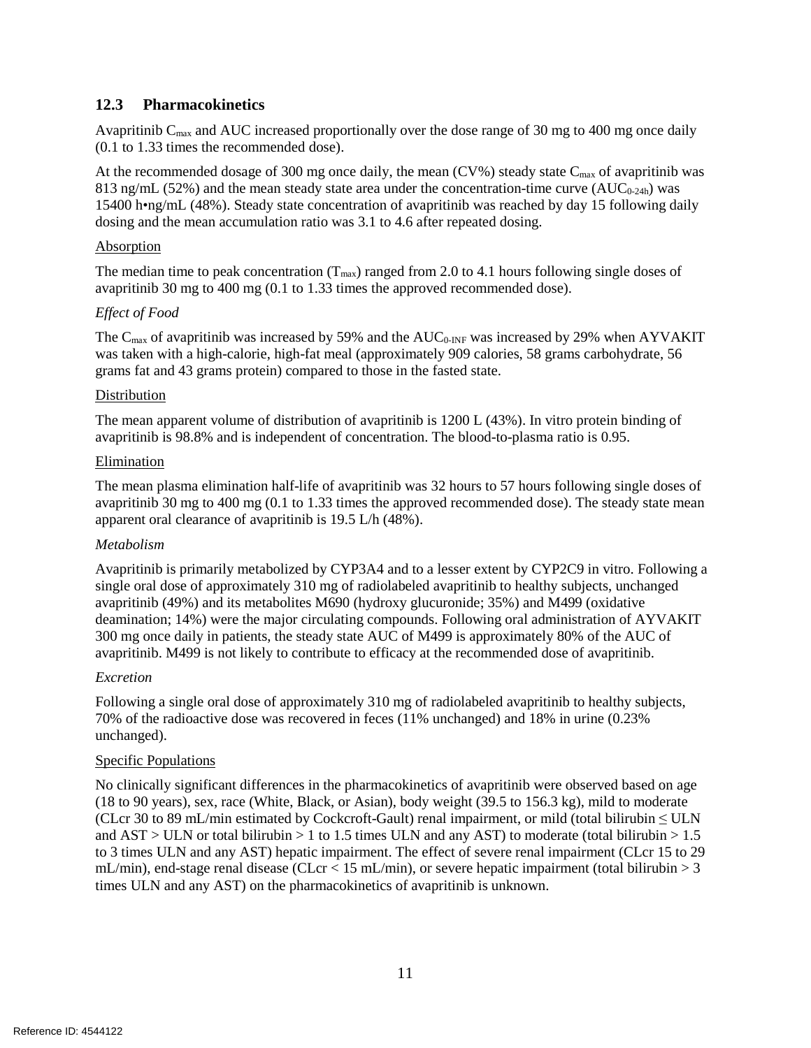## **12.3 Pharmacokinetics**

Avapritinib  $C_{\text{max}}$  and AUC increased proportionally over the dose range of 30 mg to 400 mg once daily (0.1 to 1.33 times the recommended dose).

At the recommended dosage of 300 mg once daily, the mean (CV%) steady state  $C_{\text{max}}$  of avapritinib was 813 ng/mL (52%) and the mean steady state area under the concentration-time curve ( $AUC_{0-24h}$ ) was 15400 h•ng/mL (48%). Steady state concentration of avapritinib was reached by day 15 following daily dosing and the mean accumulation ratio was 3.1 to 4.6 after repeated dosing.

### Absorption

The median time to peak concentration  $(T_{max})$  ranged from 2.0 to 4.1 hours following single doses of avapritinib 30 mg to 400 mg (0.1 to 1.33 times the approved recommended dose).

### *Effect of Food*

The  $C_{\text{max}}$  of avapritinib was increased by 59% and the  $AUC_{0\text{-INF}}$  was increased by 29% when AYVAKIT was taken with a high-calorie, high-fat meal (approximately 909 calories, 58 grams carbohydrate, 56 grams fat and 43 grams protein) compared to those in the fasted state.

### Distribution

The mean apparent volume of distribution of avapritinib is 1200 L (43%). In vitro protein binding of avapritinib is 98.8% and is independent of concentration. The blood-to-plasma ratio is 0.95.

### Elimination

The mean plasma elimination half-life of avapritinib was 32 hours to 57 hours following single doses of avapritinib 30 mg to 400 mg (0.1 to 1.33 times the approved recommended dose). The steady state mean apparent oral clearance of avapritinib is 19.5 L/h (48%).

### *Metabolism*

Avapritinib is primarily metabolized by CYP3A4 and to a lesser extent by CYP2C9 in vitro. Following a single oral dose of approximately 310 mg of radiolabeled avapritinib to healthy subjects, unchanged avapritinib (49%) and its metabolites M690 (hydroxy glucuronide; 35%) and M499 (oxidative deamination; 14%) were the major circulating compounds. Following oral administration of AYVAKIT 300 mg once daily in patients, the steady state AUC of M499 is approximately 80% of the AUC of avapritinib. M499 is not likely to contribute to efficacy at the recommended dose of avapritinib.

### *Excretion*

Following a single oral dose of approximately 310 mg of radiolabeled avapritinib to healthy subjects, 70% of the radioactive dose was recovered in feces (11% unchanged) and 18% in urine (0.23% unchanged).

### Specific Populations

No clinically significant differences in the pharmacokinetics of avapritinib were observed based on age (18 to 90 years), sex, race (White, Black, or Asian), body weight (39.5 to 156.3 kg), mild to moderate (CLcr 30 to 89 mL/min estimated by Cockcroft-Gault) renal impairment, or mild (total bilirubin ≤ ULN and  $AST > ULN$  or total bilirubin  $> 1$  to 1.5 times ULN and any AST) to moderate (total bilirubin  $> 1.5$ to 3 times ULN and any AST) hepatic impairment. The effect of severe renal impairment (CLcr 15 to 29 mL/min), end-stage renal disease (CLcr < 15 mL/min), or severe hepatic impairment (total bilirubin > 3 times ULN and any AST) on the pharmacokinetics of avapritinib is unknown.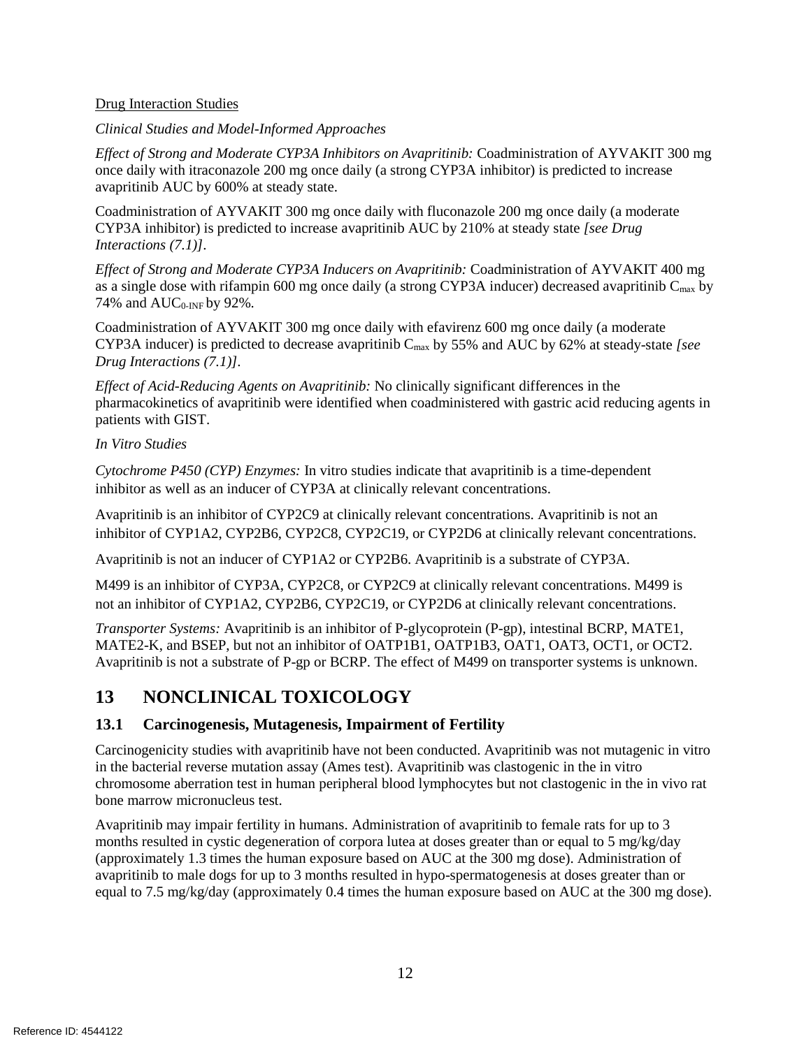### <span id="page-11-2"></span>Drug Interaction Studies

*Clinical Studies and Model-Informed Approaches*

*Effect of Strong and Moderate CYP3A Inhibitors on Avapritinib:* Coadministration of AYVAKIT 300 mg once daily with itraconazole 200 mg once daily (a strong CYP3A inhibitor) is predicted to increase avapritinib AUC by 600% at steady state.

Coadministration of AYVAKIT 300 mg once daily with fluconazole 200 mg once daily (a moderate CYP3A inhibitor) is predicted to increase avapritinib AUC by 210% at steady state *[see Drug Interactions (7.1)]*.

*Effect of Strong and Moderate CYP3A Inducers on Avapritinib:* Coadministration of AYVAKIT 400 mg as a single dose with rifampin 600 mg once daily (a strong CYP3A inducer) decreased avapritinib  $C_{\text{max}}$  by 74% and AUC0-INF by 92%*.*

Coadministration of AYVAKIT 300 mg once daily with efavirenz 600 mg once daily (a moderate CYP3A inducer) is predicted to decrease avapritinib Cmax by 55% and AUC by 62% at steady-state *[see Drug Interactions (7.1)].*

*Effect of Acid-Reducing Agents on Avapritinib:* No clinically significant differences in the pharmacokinetics of avapritinib were identified when coadministered with gastric acid reducing agents in patients with GIST.

*In Vitro Studies*

*Cytochrome P450 (CYP) Enzymes:* In vitro studies indicate that avapritinib is a time-dependent inhibitor as well as an inducer of CYP3A at clinically relevant concentrations.

Avapritinib is an inhibitor of CYP2C9 at clinically relevant concentrations. Avapritinib is not an inhibitor of CYP1A2, CYP2B6, CYP2C8, CYP2C19, or CYP2D6 at clinically relevant concentrations.

Avapritinib is not an inducer of CYP1A2 or CYP2B6. Avapritinib is a substrate of CYP3A.

M499 is an inhibitor of CYP3A, CYP2C8, or CYP2C9 at clinically relevant concentrations. M499 is not an inhibitor of CYP1A2, CYP2B6, CYP2C19, or CYP2D6 at clinically relevant concentrations.

*Transporter Systems:* Avapritinib is an inhibitor of P-glycoprotein (P-gp), intestinal BCRP, MATE1, MATE2-K, and BSEP, but not an inhibitor of OATP1B1, OATP1B3, OAT1, OAT3, OCT1, or OCT2. Avapritinib is not a substrate of P-gp or BCRP. The effect of M499 on transporter systems is unknown.

# <span id="page-11-0"></span>**13 NONCLINICAL TOXICOLOGY**

# <span id="page-11-1"></span>**13.1 Carcinogenesis, Mutagenesis, Impairment of Fertility**

Carcinogenicity studies with avapritinib have not been conducted. Avapritinib was not mutagenic in vitro in the bacterial reverse mutation assay (Ames test). Avapritinib was clastogenic in the in vitro chromosome aberration test in human peripheral blood lymphocytes but not clastogenic in the in vivo rat bone marrow micronucleus test.

Avapritinib may impair fertility in humans. Administration of avapritinib to female rats for up to 3 months resulted in cystic degeneration of corpora lutea at doses greater than or equal to 5 mg/kg/day (approximately 1.3 times the human exposure based on AUC at the 300 mg dose). Administration of avapritinib to male dogs for up to 3 months resulted in hypo-spermatogenesis at doses greater than or equal to 7.5 mg/kg/day (approximately 0.4 times the human exposure based on AUC at the 300 mg dose).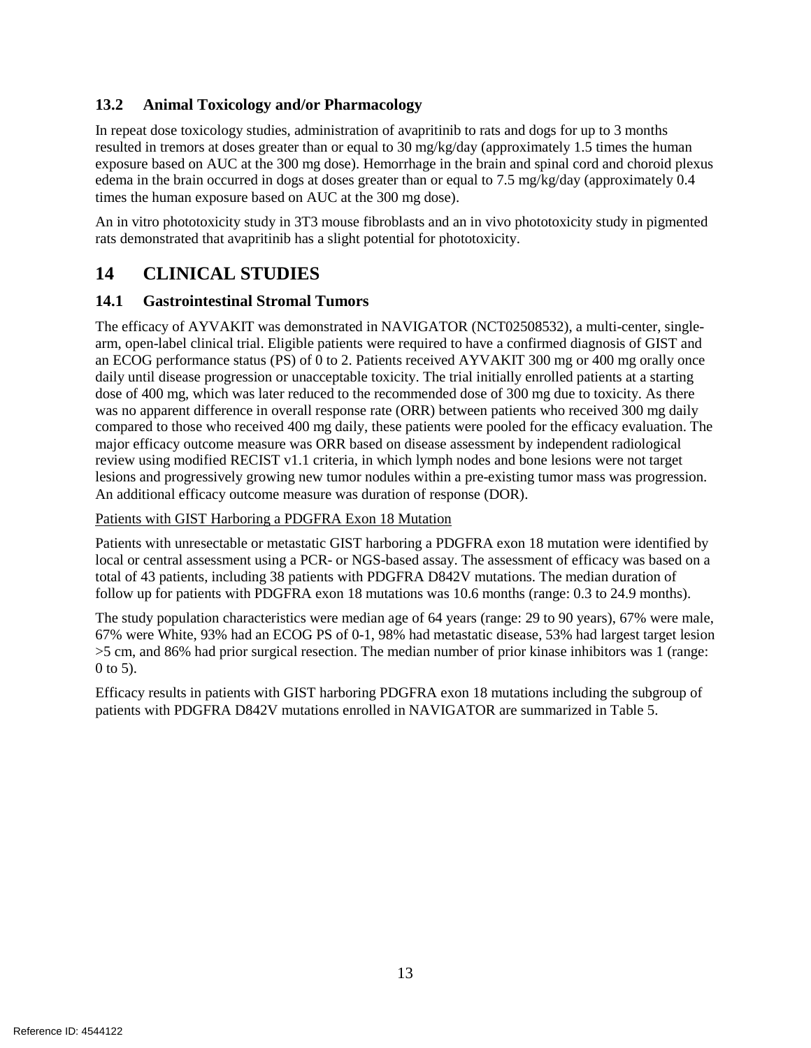# **13.2 Animal Toxicology and/or Pharmacology**

In repeat dose toxicology studies, administration of avapritinib to rats and dogs for up to 3 months resulted in tremors at doses greater than or equal to 30 mg/kg/day (approximately 1.5 times the human exposure based on AUC at the 300 mg dose). Hemorrhage in the brain and spinal cord and choroid plexus edema in the brain occurred in dogs at doses greater than or equal to 7.5 mg/kg/day (approximately 0.4 times the human exposure based on AUC at the 300 mg dose).

An in vitro phototoxicity study in 3T3 mouse fibroblasts and an in vivo phototoxicity study in pigmented rats demonstrated that avapritinib has a slight potential for phototoxicity.

# <span id="page-12-0"></span>**14 CLINICAL STUDIES**

# **14.1 Gastrointestinal Stromal Tumors**

The efficacy of AYVAKIT was demonstrated in NAVIGATOR (NCT02508532), a multi-center, singlearm, open-label clinical trial. Eligible patients were required to have a confirmed diagnosis of GIST and an ECOG performance status (PS) of 0 to 2. Patients received AYVAKIT 300 mg or 400 mg orally once daily until disease progression or unacceptable toxicity. The trial initially enrolled patients at a starting dose of 400 mg, which was later reduced to the recommended dose of 300 mg due to toxicity. As there was no apparent difference in overall response rate (ORR) between patients who received 300 mg daily compared to those who received 400 mg daily, these patients were pooled for the efficacy evaluation. The major efficacy outcome measure was ORR based on disease assessment by independent radiological review using modified RECIST v1.1 criteria, in which lymph nodes and bone lesions were not target lesions and progressively growing new tumor nodules within a pre-existing tumor mass was progression. An additional efficacy outcome measure was duration of response (DOR).

## Patients with GIST Harboring a PDGFRA Exon 18 Mutation

Patients with unresectable or metastatic GIST harboring a PDGFRA exon 18 mutation were identified by local or central assessment using a PCR- or NGS-based assay. The assessment of efficacy was based on a total of 43 patients, including 38 patients with PDGFRA D842V mutations. The median duration of follow up for patients with PDGFRA exon 18 mutations was 10.6 months (range: 0.3 to 24.9 months).

The study population characteristics were median age of 64 years (range: 29 to 90 years), 67% were male, 67% were White, 93% had an ECOG PS of 0-1, 98% had metastatic disease, 53% had largest target lesion >5 cm, and 86% had prior surgical resection. The median number of prior kinase inhibitors was 1 (range: 0 to 5).

Efficacy results in patients with GIST harboring PDGFRA exon 18 mutations including the subgroup of patients with PDGFRA D842V mutations enrolled in NAVIGATOR are summarized in Table 5.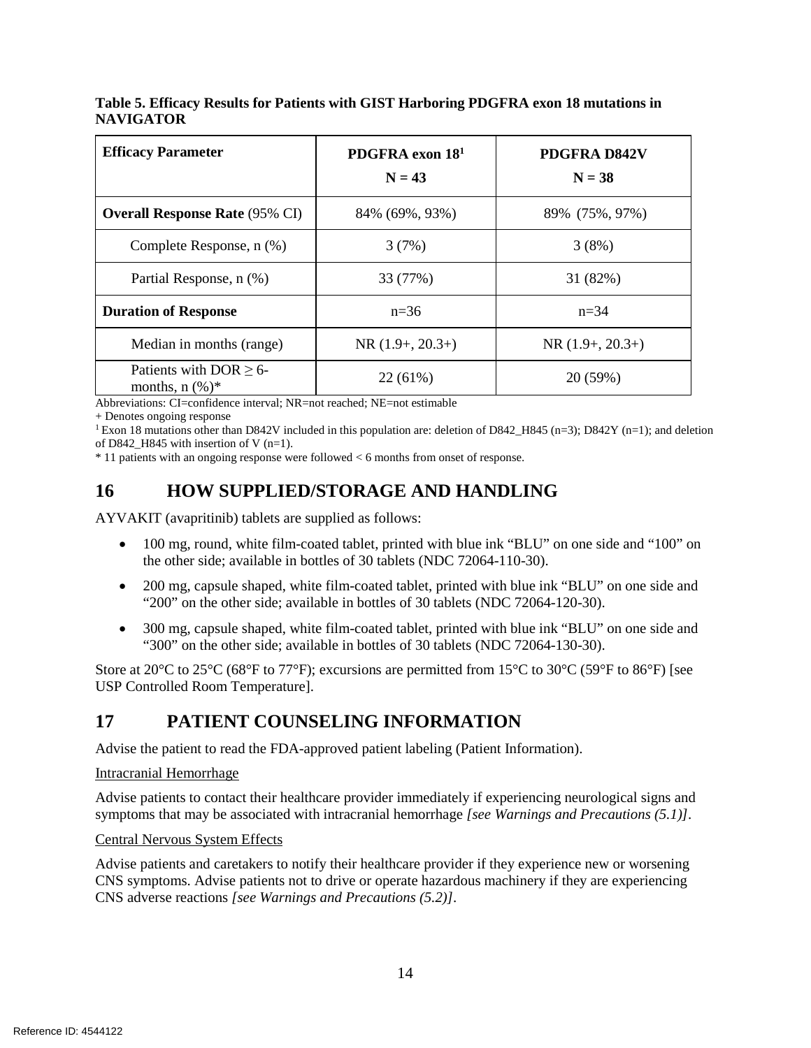| Table 5. Efficacy Results for Patients with GIST Harboring PDGFRA exon 18 mutations in |  |  |  |
|----------------------------------------------------------------------------------------|--|--|--|
| <b>NAVIGATOR</b>                                                                       |  |  |  |

| <b>Efficacy Parameter</b>                           | PDGFRA exon 18 <sup>1</sup><br>$N = 43$ | <b>PDGFRA D842V</b><br>$N = 38$ |  |
|-----------------------------------------------------|-----------------------------------------|---------------------------------|--|
| <b>Overall Response Rate (95% CI)</b>               | 84% (69%, 93%)                          | 89% (75%, 97%)                  |  |
| Complete Response, n (%)                            | 3(7%)                                   | 3(8%)                           |  |
| Partial Response, n (%)                             | 33 (77%)                                | 31(82%)                         |  |
| <b>Duration of Response</b>                         | $n=36$                                  | $n = 34$                        |  |
| Median in months (range)                            | $NR(1.9+, 20.3+)$                       | NR $(1.9+, 20.3+)$              |  |
| Patients with $DOR \ge 6$ -<br>months, $n$ $(\%)^*$ | 22(61%)                                 | 20(59%)                         |  |

Abbreviations: CI=confidence interval; NR=not reached; NE=not estimable

+ Denotes ongoing response

<sup>1</sup> Exon 18 mutations other than D842V included in this population are: deletion of D842\_H845 (n=3); D842Y (n=1); and deletion of D842\_H845 with insertion of V  $(n=1)$ .

<span id="page-13-0"></span>\* 11 patients with an ongoing response were followed < 6 months from onset of response.

# **16 HOW SUPPLIED/STORAGE AND HANDLING**

AYVAKIT (avapritinib) tablets are supplied as follows:

- 100 mg, round, white film-coated tablet, printed with blue ink "BLU" on one side and "100" on the other side; available in bottles of 30 tablets (NDC 72064-110-30).
- 200 mg, capsule shaped, white film-coated tablet, printed with blue ink "BLU" on one side and "200" on the other side; available in bottles of 30 tablets (NDC 72064-120-30).
- 300 mg, capsule shaped, white film-coated tablet, printed with blue ink "BLU" on one side and "300" on the other side; available in bottles of 30 tablets (NDC 72064-130-30).

Store at 20°C to 25°C (68°F to 77°F); excursions are permitted from 15°C to 30°C (59°F to 86°F) [see USP Controlled Room Temperature].

# <span id="page-13-1"></span>**17 PATIENT COUNSELING INFORMATION**

Advise the patient to read the FDA-approved patient labeling (Patient Information).

### Intracranial Hemorrhage

Advise patients to contact their healthcare provider immediately if experiencing neurological signs and symptoms that may be associated with intracranial hemorrhage *[see Warnings and Precautions (5.1)]*.

### Central Nervous System Effects

Advise patients and caretakers to notify their healthcare provider if they experience new or worsening CNS symptoms. Advise patients not to drive or operate hazardous machinery if they are experiencing CNS adverse reactions *[see Warnings and Precautions (5.2)]*.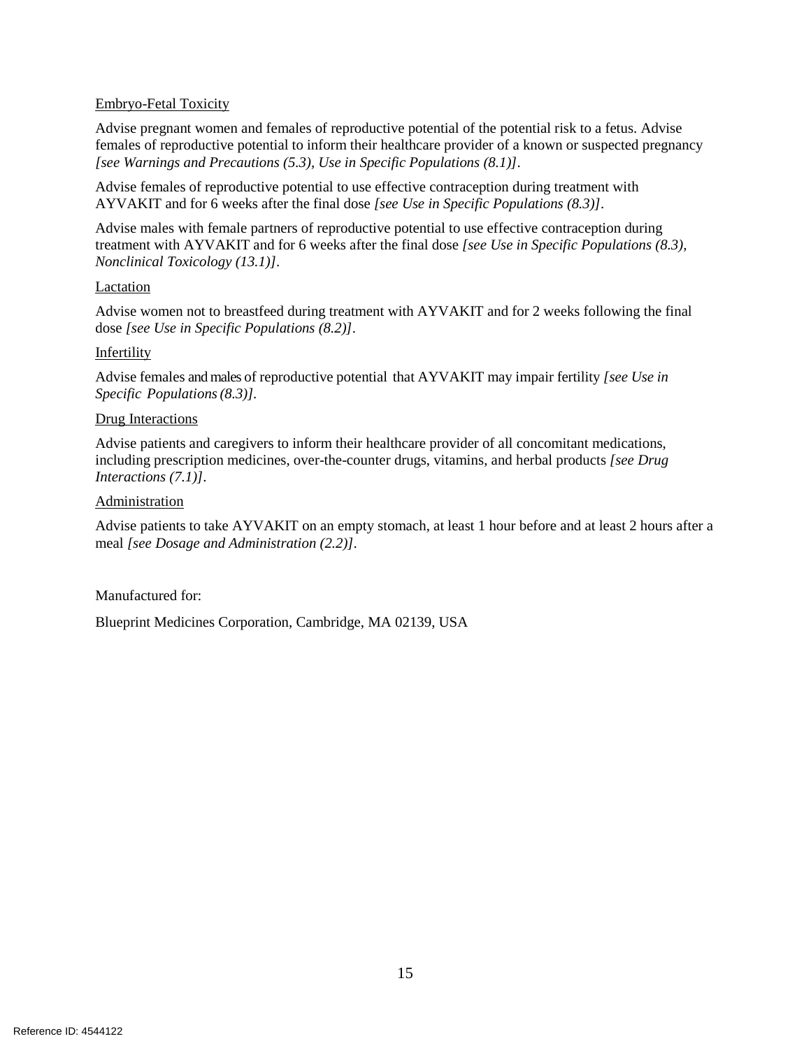### Embryo-Fetal Toxicity

Advise pregnant women and females of reproductive potential of the potential risk to a fetus. Advise females of reproductive potential to inform their healthcare provider of a known or suspected pregnancy *[see Warnings and Precautions (5.3), Use in Specific Populations (8.1)]*.

Advise females of reproductive potential to use effective contraception during treatment with AYVAKIT and for 6 weeks after the final dose *[see Use in Specific Populations (8.3)]*.

Advise males with female partners of reproductive potential to use effective contraception during treatment with AYVAKIT and for 6 weeks after the final dose *[see Use in Specific Populations (8.3), Nonclinical Toxicology (13.1)]*.

### Lactation

Advise women not to breastfeed during treatment with AYVAKIT and for 2 weeks following the final dose *[see Use in Specific Populations (8.2)]*.

### Infertility

Advise females and males of reproductive potential that AYVAKIT may impair fertility *[see Use in Specific Populations(8.3)].*

### Drug Interactions

Advise patients and caregivers to inform their healthcare provider of all concomitant medications, including prescription medicines, over-the-counter drugs, vitamins, and herbal products *[see Drug Interactions (7.1)]*.

### **Administration**

Advise patients to take AYVAKIT on an empty stomach, at least 1 hour before and at least 2 hours after a meal *[see Dosage and Administration (2.2)]*.

Manufactured for:

Blueprint Medicines Corporation, Cambridge, MA 02139, USA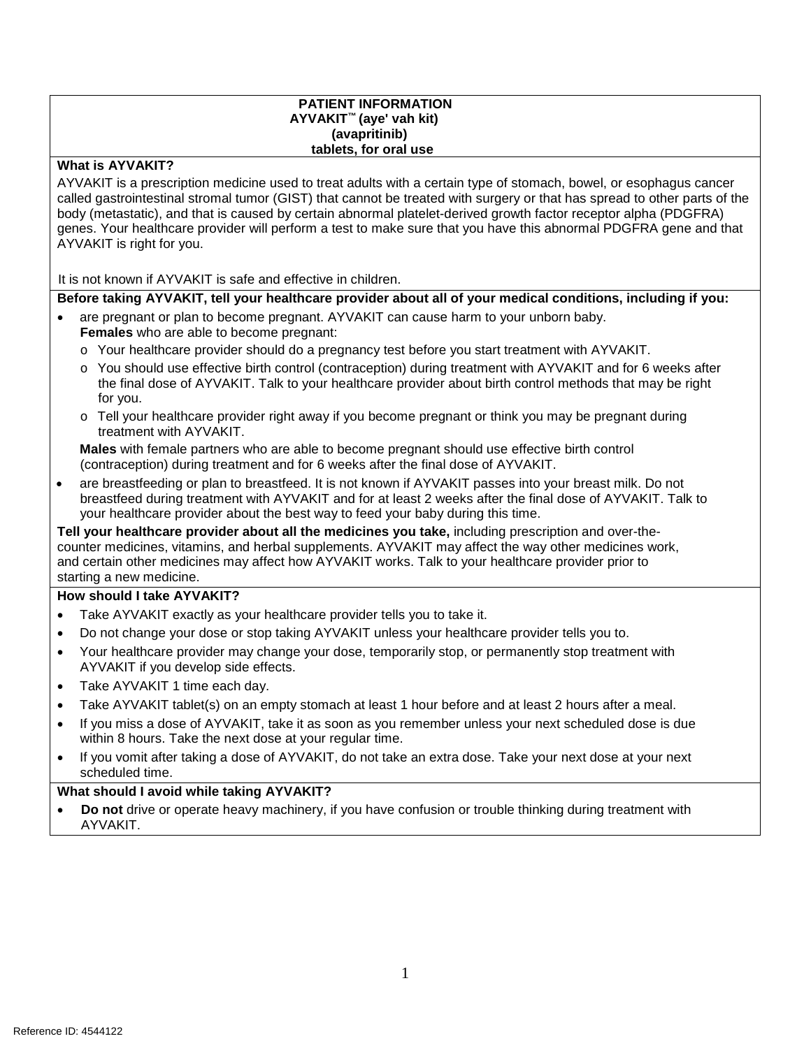#### **PATIENT INFORMATION AYVAKIT™ (aye' vah kit) (avapritinib) tablets, for oral use**

#### **What is AYVAKIT?**

AYVAKIT is a prescription medicine used to treat adults with a certain type of stomach, bowel, or esophagus cancer called gastrointestinal stromal tumor (GIST) that cannot be treated with surgery or that has spread to other parts of the body (metastatic), and that is caused by certain abnormal platelet-derived growth factor receptor alpha (PDGFRA) genes. Your healthcare provider will perform a test to make sure that you have this abnormal PDGFRA gene and that AYVAKIT is right for you.

It is not known if AYVAKIT is safe and effective in children.

### **Before taking AYVAKIT, tell your healthcare provider about all of your medical conditions, including if you:**

- are pregnant or plan to become pregnant. AYVAKIT can cause harm to your unborn baby. **Females** who are able to become pregnant:
	- o Your healthcare provider should do a pregnancy test before you start treatment with AYVAKIT.
	- o You should use effective birth control (contraception) during treatment with AYVAKIT and for 6 weeks after the final dose of AYVAKIT. Talk to your healthcare provider about birth control methods that may be right for you.
	- o Tell your healthcare provider right away if you become pregnant or think you may be pregnant during treatment with AYVAKIT.

**Males** with female partners who are able to become pregnant should use effective birth control (contraception) during treatment and for 6 weeks after the final dose of AYVAKIT.

• are breastfeeding or plan to breastfeed. It is not known if AYVAKIT passes into your breast milk. Do not breastfeed during treatment with AYVAKIT and for at least 2 weeks after the final dose of AYVAKIT. Talk to your healthcare provider about the best way to feed your baby during this time.

**Tell your healthcare provider about all the medicines you take,** including prescription and over-thecounter medicines, vitamins, and herbal supplements. AYVAKIT may affect the way other medicines work, and certain other medicines may affect how AYVAKIT works. Talk to your healthcare provider prior to starting a new medicine.

### **How should I take AYVAKIT?**

- Take AYVAKIT exactly as your healthcare provider tells you to take it.
- Do not change your dose or stop taking AYVAKIT unless your healthcare provider tells you to.
- Your healthcare provider may change your dose, temporarily stop, or permanently stop treatment with AYVAKIT if you develop side effects.
- Take AYVAKIT 1 time each day.
- Take AYVAKIT tablet(s) on an empty stomach at least 1 hour before and at least 2 hours after a meal.
- If you miss a dose of AYVAKIT, take it as soon as you remember unless your next scheduled dose is due within 8 hours. Take the next dose at your regular time.
- If you vomit after taking a dose of AYVAKIT, do not take an extra dose. Take your next dose at your next scheduled time.

### **What should I avoid while taking AYVAKIT?**

• **Do not** drive or operate heavy machinery, if you have confusion or trouble thinking during treatment with AYVAKIT.